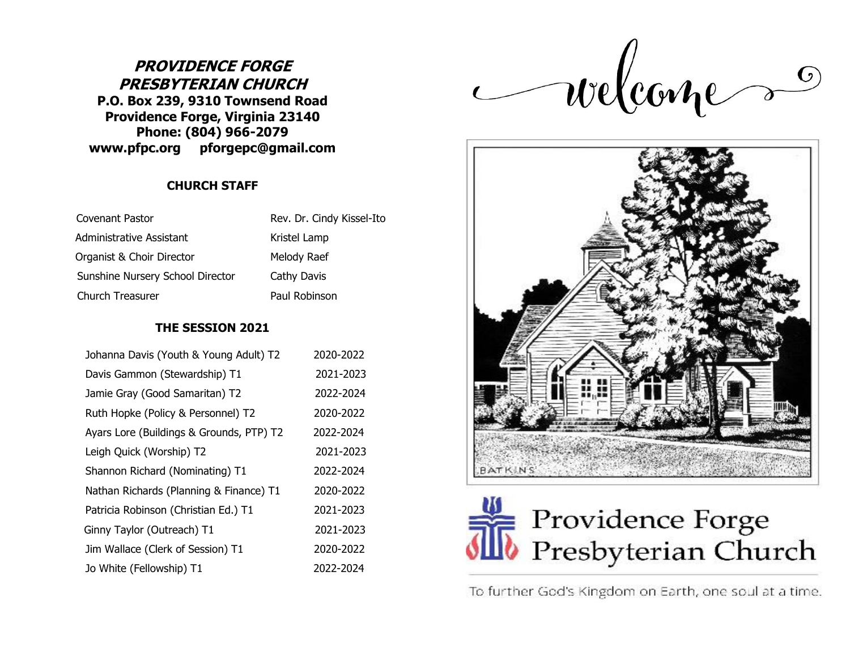# **PROVIDENCE FORGE PRESBYTERIAN CHURCH P.O. Box 239, 9310 Townsend Road Providence Forge, Virginia 23140 Phone: (804) 966-2079 www.pfpc.org pforgepc@gmail.com**

## **CHURCH STAFF**

| Covenant Pastor                  | Rev. Dr. Cindy Kissel-Ito |
|----------------------------------|---------------------------|
| Administrative Assistant         | Kristel Lamp              |
| Organist & Choir Director        | Melody Raef               |
| Sunshine Nursery School Director | Cathy Davis               |
| Church Treasurer                 | Paul Robinson             |

### **THE SESSION 2021**

| Johanna Davis (Youth & Young Adult) T2   | 2020-2022 |
|------------------------------------------|-----------|
| Davis Gammon (Stewardship) T1            | 2021-2023 |
| Jamie Gray (Good Samaritan) T2           | 2022-2024 |
| Ruth Hopke (Policy & Personnel) T2       | 2020-2022 |
| Ayars Lore (Buildings & Grounds, PTP) T2 | 2022-2024 |
| Leigh Quick (Worship) T2                 | 2021-2023 |
| Shannon Richard (Nominating) T1          | 2022-2024 |
| Nathan Richards (Planning & Finance) T1  | 2020-2022 |
| Patricia Robinson (Christian Ed.) T1     | 2021-2023 |
| Ginny Taylor (Outreach) T1               | 2021-2023 |
| Jim Wallace (Clerk of Session) T1        | 2020-2022 |
| Jo White (Fellowship) T1                 | 2022-2024 |

welcome





To further God's Kingdom on Earth, one soul at a time.